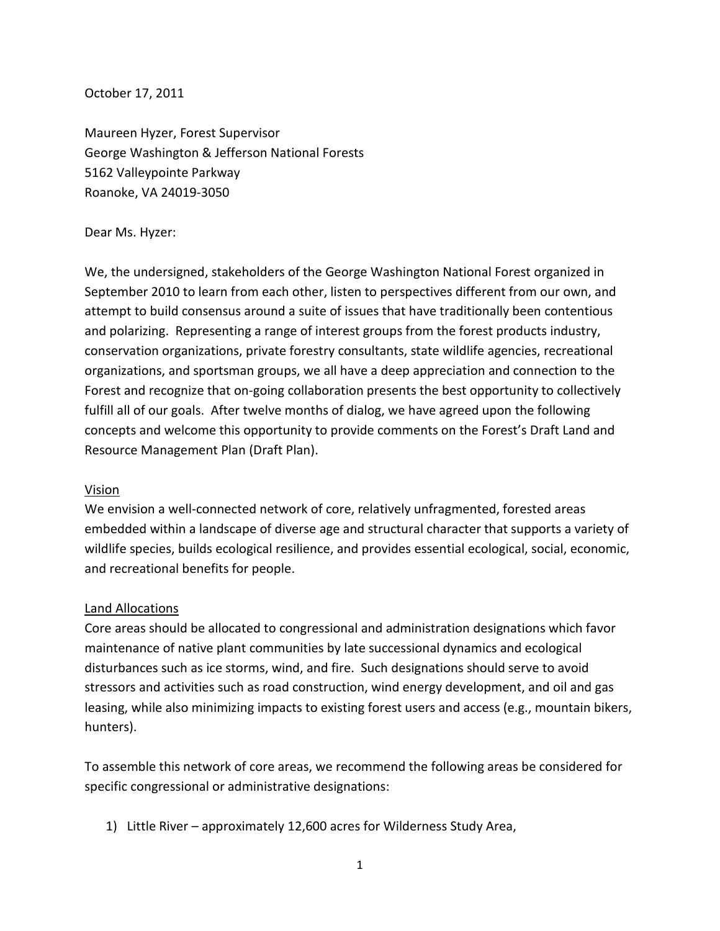October 17, 2011

Maureen Hyzer, Forest Supervisor George Washington & Jefferson National Forests 5162 Valleypointe Parkway Roanoke, VA 24019-3050

### Dear Ms. Hyzer:

We, the undersigned, stakeholders of the George Washington National Forest organized in September 2010 to learn from each other, listen to perspectives different from our own, and attempt to build consensus around a suite of issues that have traditionally been contentious and polarizing. Representing a range of interest groups from the forest products industry, conservation organizations, private forestry consultants, state wildlife agencies, recreational organizations, and sportsman groups, we all have a deep appreciation and connection to the Forest and recognize that on-going collaboration presents the best opportunity to collectively fulfill all of our goals. After twelve months of dialog, we have agreed upon the following concepts and welcome this opportunity to provide comments on the Forest's Draft Land and Resource Management Plan (Draft Plan).

## Vision

We envision a well-connected network of core, relatively unfragmented, forested areas embedded within a landscape of diverse age and structural character that supports a variety of wildlife species, builds ecological resilience, and provides essential ecological, social, economic, and recreational benefits for people.

## Land Allocations

Core areas should be allocated to congressional and administration designations which favor maintenance of native plant communities by late successional dynamics and ecological disturbances such as ice storms, wind, and fire. Such designations should serve to avoid stressors and activities such as road construction, wind energy development, and oil and gas leasing, while also minimizing impacts to existing forest users and access (e.g., mountain bikers, hunters).

To assemble this network of core areas, we recommend the following areas be considered for specific congressional or administrative designations:

1) Little River – approximately 12,600 acres for Wilderness Study Area,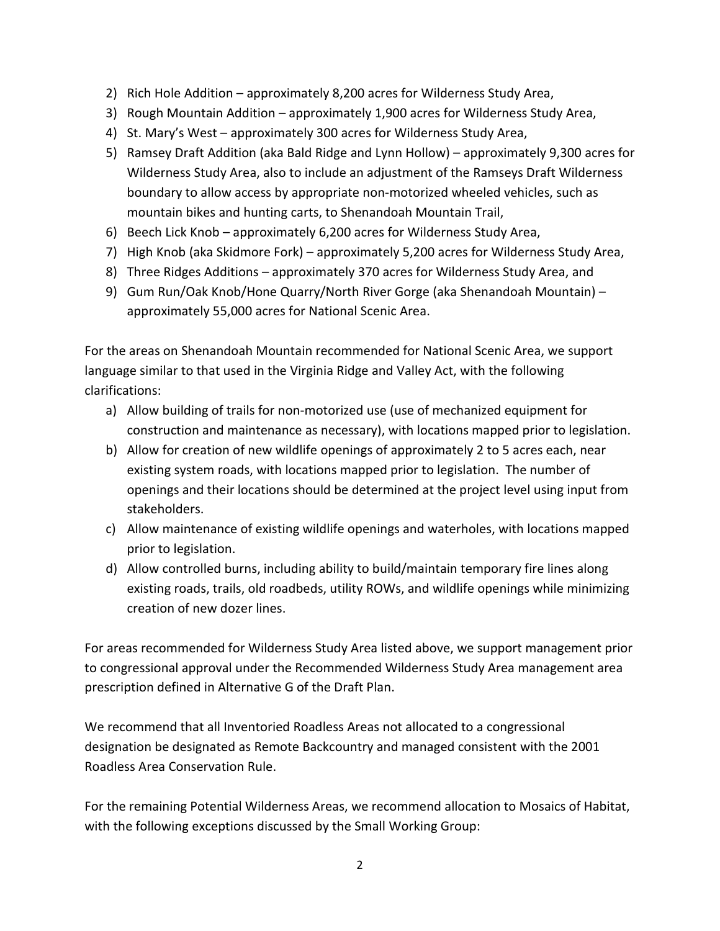- 2) Rich Hole Addition approximately 8,200 acres for Wilderness Study Area,
- 3) Rough Mountain Addition approximately 1,900 acres for Wilderness Study Area,
- 4) St. Mary's West approximately 300 acres for Wilderness Study Area,
- 5) Ramsey Draft Addition (aka Bald Ridge and Lynn Hollow) approximately 9,300 acres for Wilderness Study Area, also to include an adjustment of the Ramseys Draft Wilderness boundary to allow access by appropriate non-motorized wheeled vehicles, such as mountain bikes and hunting carts, to Shenandoah Mountain Trail,
- 6) Beech Lick Knob approximately 6,200 acres for Wilderness Study Area,
- 7) High Knob (aka Skidmore Fork) approximately 5,200 acres for Wilderness Study Area,
- 8) Three Ridges Additions approximately 370 acres for Wilderness Study Area, and
- 9) Gum Run/Oak Knob/Hone Quarry/North River Gorge (aka Shenandoah Mountain) approximately 55,000 acres for National Scenic Area.

For the areas on Shenandoah Mountain recommended for National Scenic Area, we support language similar to that used in the Virginia Ridge and Valley Act, with the following clarifications:

- a) Allow building of trails for non-motorized use (use of mechanized equipment for construction and maintenance as necessary), with locations mapped prior to legislation.
- b) Allow for creation of new wildlife openings of approximately 2 to 5 acres each, near existing system roads, with locations mapped prior to legislation. The number of openings and their locations should be determined at the project level using input from stakeholders.
- c) Allow maintenance of existing wildlife openings and waterholes, with locations mapped prior to legislation.
- d) Allow controlled burns, including ability to build/maintain temporary fire lines along existing roads, trails, old roadbeds, utility ROWs, and wildlife openings while minimizing creation of new dozer lines.

For areas recommended for Wilderness Study Area listed above, we support management prior to congressional approval under the Recommended Wilderness Study Area management area prescription defined in Alternative G of the Draft Plan.

We recommend that all Inventoried Roadless Areas not allocated to a congressional designation be designated as Remote Backcountry and managed consistent with the 2001 Roadless Area Conservation Rule.

For the remaining Potential Wilderness Areas, we recommend allocation to Mosaics of Habitat, with the following exceptions discussed by the Small Working Group: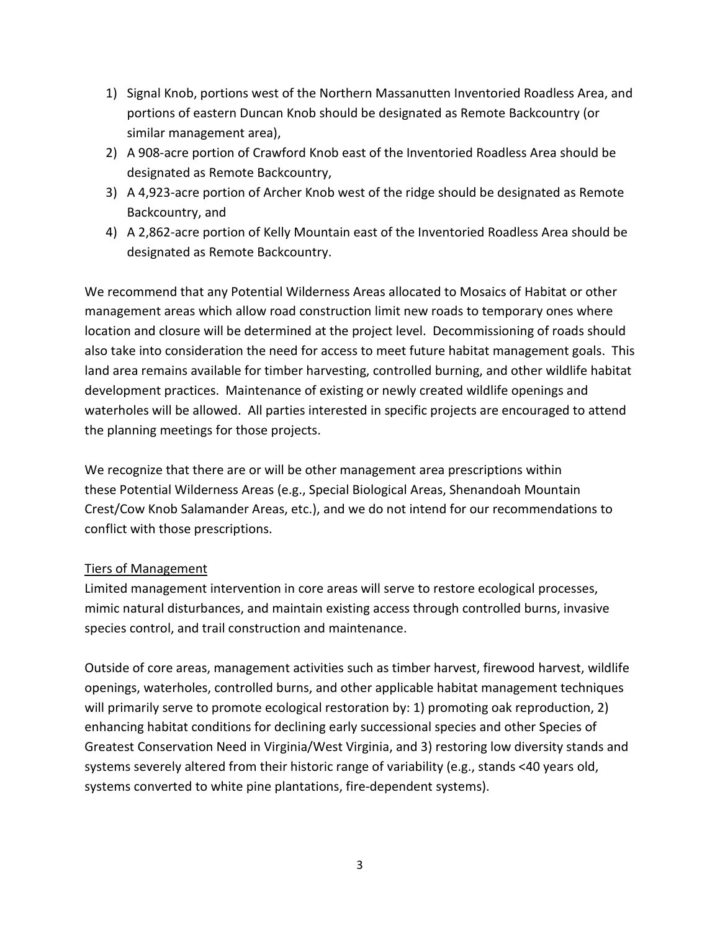- 1) Signal Knob, portions west of the Northern Massanutten Inventoried Roadless Area, and portions of eastern Duncan Knob should be designated as Remote Backcountry (or similar management area),
- 2) A 908-acre portion of Crawford Knob east of the Inventoried Roadless Area should be designated as Remote Backcountry,
- 3) A 4,923-acre portion of Archer Knob west of the ridge should be designated as Remote Backcountry, and
- 4) A 2,862-acre portion of Kelly Mountain east of the Inventoried Roadless Area should be designated as Remote Backcountry.

We recommend that any Potential Wilderness Areas allocated to Mosaics of Habitat or other management areas which allow road construction limit new roads to temporary ones where location and closure will be determined at the project level. Decommissioning of roads should also take into consideration the need for access to meet future habitat management goals. This land area remains available for timber harvesting, controlled burning, and other wildlife habitat development practices.Maintenance of existing or newly created wildlife openings and waterholes will be allowed. All parties interested in specific projects are encouraged to attend the planning meetings for those projects.

We recognize that there are or will be other management area prescriptions within these Potential Wilderness Areas (e.g., Special Biological Areas, Shenandoah Mountain Crest/Cow Knob Salamander Areas, etc.), and we do not intend for our recommendations to conflict with those prescriptions.

# Tiers of Management

Limited management intervention in core areas will serve to restore ecological processes, mimic natural disturbances, and maintain existing access through controlled burns, invasive species control, and trail construction and maintenance.

Outside of core areas, management activities such as timber harvest, firewood harvest, wildlife openings, waterholes, controlled burns, and other applicable habitat management techniques will primarily serve to promote ecological restoration by: 1) promoting oak reproduction, 2) enhancing habitat conditions for declining early successional species and other Species of Greatest Conservation Need in Virginia/West Virginia, and 3) restoring low diversity stands and systems severely altered from their historic range of variability (e.g., stands <40 years old, systems converted to white pine plantations, fire-dependent systems).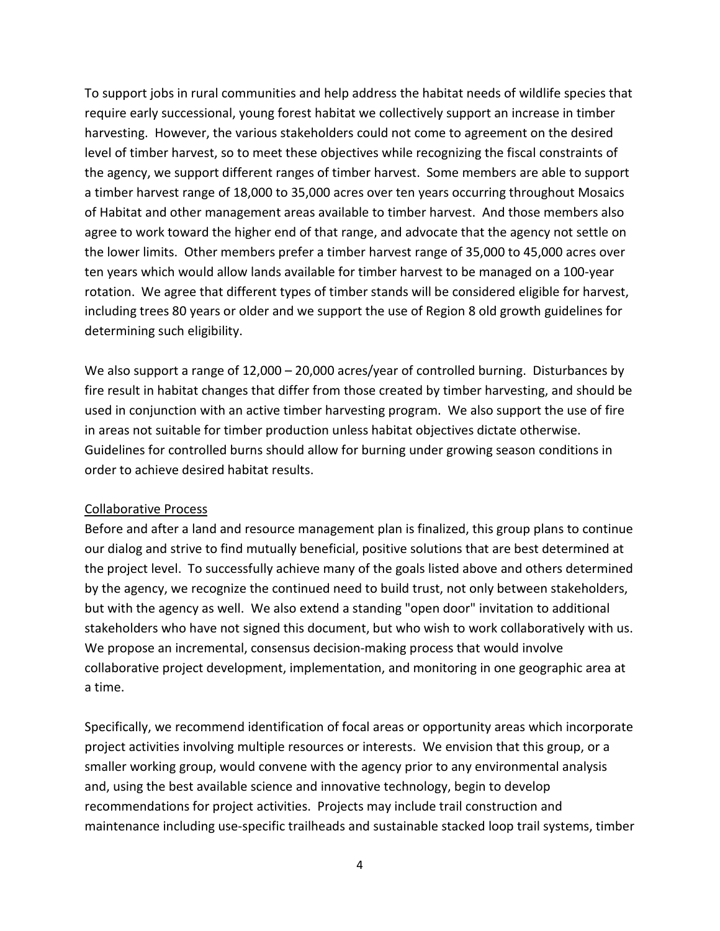To support jobs in rural communities and help address the habitat needs of wildlife species that require early successional, young forest habitat we collectively support an increase in timber harvesting. However, the various stakeholders could not come to agreement on the desired level of timber harvest, so to meet these objectives while recognizing the fiscal constraints of the agency, we support different ranges of timber harvest. Some members are able to support a timber harvest range of 18,000 to 35,000 acres over ten years occurring throughout Mosaics of Habitat and other management areas available to timber harvest. And those members also agree to work toward the higher end of that range, and advocate that the agency not settle on the lower limits. Other members prefer a timber harvest range of 35,000 to 45,000 acres over ten years which would allow lands available for timber harvest to be managed on a 100-year rotation. We agree that different types of timber stands will be considered eligible for harvest, including trees 80 years or older and we support the use of Region 8 old growth guidelines for determining such eligibility.

We also support a range of 12,000 – 20,000 acres/year of controlled burning. Disturbances by fire result in habitat changes that differ from those created by timber harvesting, and should be used in conjunction with an active timber harvesting program. We also support the use of fire in areas not suitable for timber production unless habitat objectives dictate otherwise. Guidelines for controlled burns should allow for burning under growing season conditions in order to achieve desired habitat results.

## Collaborative Process

Before and after a land and resource management plan is finalized, this group plans to continue our dialog and strive to find mutually beneficial, positive solutions that are best determined at the project level. To successfully achieve many of the goals listed above and others determined by the agency, we recognize the continued need to build trust, not only between stakeholders, but with the agency as well. We also extend a standing "open door" invitation to additional stakeholders who have not signed this document, but who wish to work collaboratively with us. We propose an incremental, consensus decision-making process that would involve collaborative project development, implementation, and monitoring in one geographic area at a time.

Specifically, we recommend identification of focal areas or opportunity areas which incorporate project activities involving multiple resources or interests. We envision that this group, or a smaller working group, would convene with the agency prior to any environmental analysis and, using the best available science and innovative technology, begin to develop recommendations for project activities. Projects may include trail construction and maintenance including use-specific trailheads and sustainable stacked loop trail systems, timber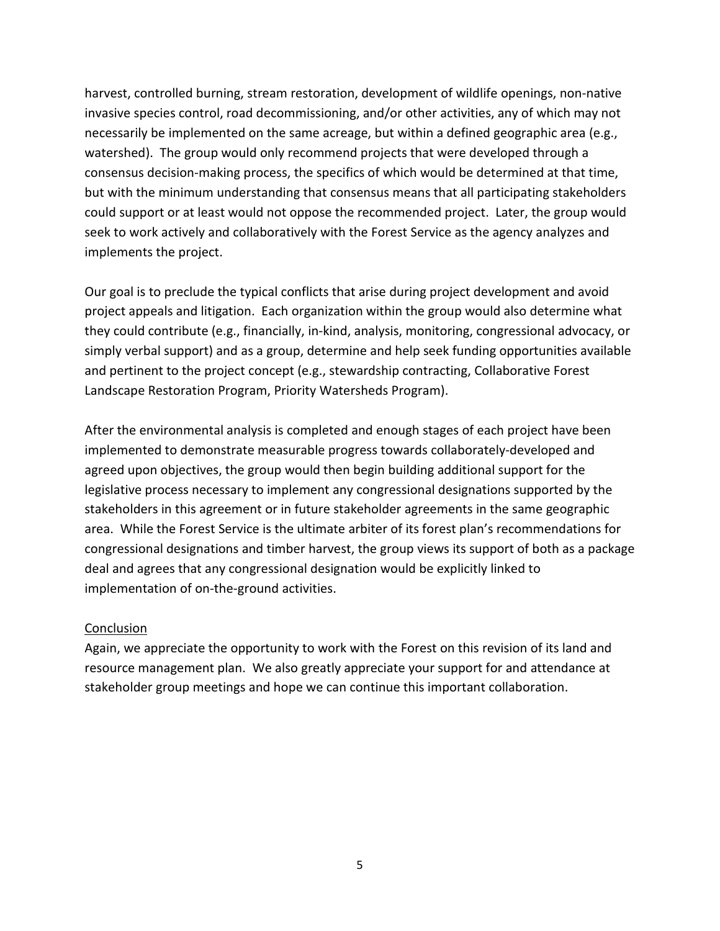harvest, controlled burning, stream restoration, development of wildlife openings, non-native invasive species control, road decommissioning, and/or other activities, any of which may not necessarily be implemented on the same acreage, but within a defined geographic area (e.g., watershed). The group would only recommend projects that were developed through a consensus decision-making process, the specifics of which would be determined at that time, but with the minimum understanding that consensus means that all participating stakeholders could support or at least would not oppose the recommended project. Later, the group would seek to work actively and collaboratively with the Forest Service as the agency analyzes and implements the project.

Our goal is to preclude the typical conflicts that arise during project development and avoid project appeals and litigation. Each organization within the group would also determine what they could contribute (e.g., financially, in-kind, analysis, monitoring, congressional advocacy, or simply verbal support) and as a group, determine and help seek funding opportunities available and pertinent to the project concept (e.g., stewardship contracting, Collaborative Forest Landscape Restoration Program, Priority Watersheds Program).

After the environmental analysis is completed and enough stages of each project have been implemented to demonstrate measurable progress towards collaborately-developed and agreed upon objectives, the group would then begin building additional support for the legislative process necessary to implement any congressional designations supported by the stakeholders in this agreement or in future stakeholder agreements in the same geographic area. While the Forest Service is the ultimate arbiter of its forest plan's recommendations for congressional designations and timber harvest, the group views its support of both as a package deal and agrees that any congressional designation would be explicitly linked to implementation of on-the-ground activities.

## **Conclusion**

Again, we appreciate the opportunity to work with the Forest on this revision of its land and resource management plan. We also greatly appreciate your support for and attendance at stakeholder group meetings and hope we can continue this important collaboration.